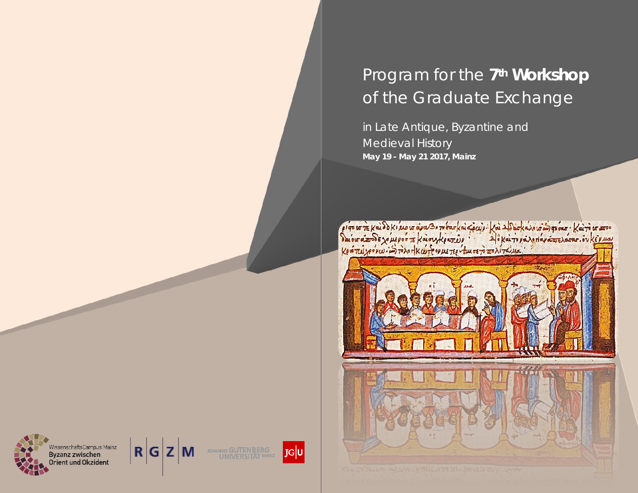# Program for the **7th Workshop**  *of the Graduate Exchange*

in Late Antique, Byzantine and **Medieval History May 19 - May 21 2017, Mainz**

e i qu ur re Kei do Ki suour aya Burn barkai Epciji : kai Aldioka vour ingrése : kai rour arrou<br>du our a mode xo us por re kai or ke arrib p : "Al i Kai ru pa vou avara sour : ov ke puas<br>Ke a rud xe v rud : in rivo HKai fe





WissenschaftsCampus Mainz<br>Byzanz zwischen Fient und Okzident





 $J$ G $|U|$